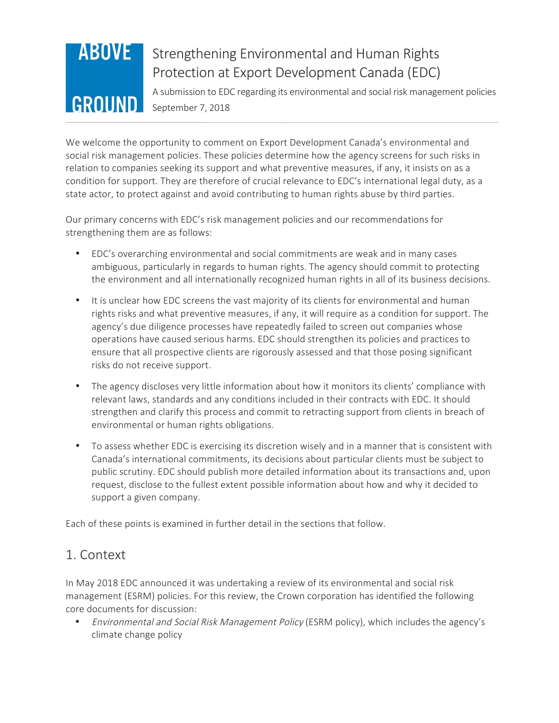# **ABOVE** GROUND

## Strengthening Environmental and Human Rights Protection at Export Development Canada (EDC)

A submission to EDC regarding its environmental and social risk management policies September 7, 2018

We welcome the opportunity to comment on Export Development Canada's environmental and social risk management policies. These policies determine how the agency screens for such risks in relation to companies seeking its support and what preventive measures, if any, it insists on as a condition for support. They are therefore of crucial relevance to EDC's international legal duty, as a state actor, to protect against and avoid contributing to human rights abuse by third parties.

Our primary concerns with EDC's risk management policies and our recommendations for strengthening them are as follows:

- EDC's overarching environmental and social commitments are weak and in many cases ambiguous, particularly in regards to human rights. The agency should commit to protecting the environment and all internationally recognized human rights in all of its business decisions.
- It is unclear how EDC screens the vast majority of its clients for environmental and human rights risks and what preventive measures, if any, it will require as a condition for support. The agency's due diligence processes have repeatedly failed to screen out companies whose operations have caused serious harms. EDC should strengthen its policies and practices to ensure that all prospective clients are rigorously assessed and that those posing significant risks do not receive support.
- The agency discloses very little information about how it monitors its clients' compliance with relevant laws, standards and any conditions included in their contracts with EDC. It should strengthen and clarify this process and commit to retracting support from clients in breach of environmental or human rights obligations.
- To assess whether EDC is exercising its discretion wisely and in a manner that is consistent with Canada's international commitments, its decisions about particular clients must be subject to public scrutiny. EDC should publish more detailed information about its transactions and, upon request, disclose to the fullest extent possible information about how and why it decided to support a given company.

Each of these points is examined in further detail in the sections that follow.

## 1. Context

In May 2018 EDC announced it was undertaking a review of its environmental and social risk management (ESRM) policies. For this review, the Crown corporation has identified the following core documents for discussion:

• Environmental and Social Risk Management Policy (ESRM policy), which includes the agency's climate change policy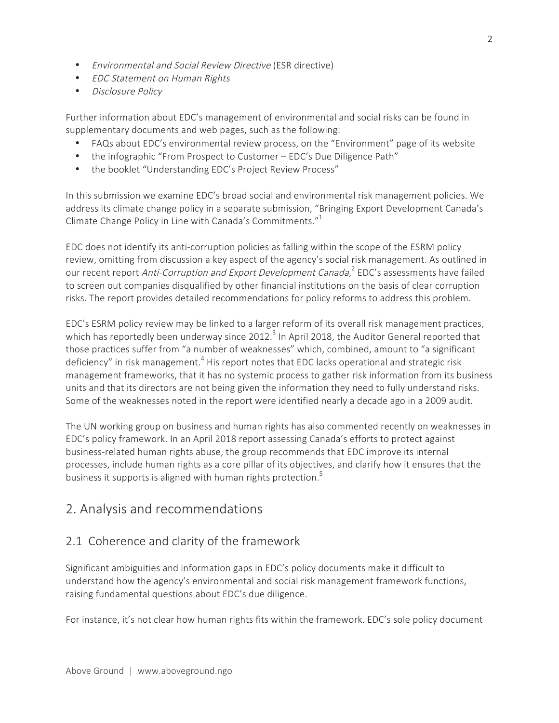- Environmental and Social Review Directive (ESR directive)
- EDC Statement on Human Rights
- Disclosure Policy

Further information about EDC's management of environmental and social risks can be found in supplementary documents and web pages, such as the following:

- FAQs about EDC's environmental review process, on the "Environment" page of its website
- the infographic "From Prospect to Customer EDC's Due Diligence Path"
- the booklet "Understanding EDC's Project Review Process"

In this submission we examine EDC's broad social and environmental risk management policies. We address its climate change policy in a separate submission, "Bringing Export Development Canada's Climate Change Policy in Line with Canada's Commitments."<sup>1</sup>

EDC does not identify its anti-corruption policies as falling within the scope of the ESRM policy review, omitting from discussion a key aspect of the agency's social risk management. As outlined in our recent report Anti-Corruption and Export Development Canada,<sup>2</sup> EDC's assessments have failed to screen out companies disqualified by other financial institutions on the basis of clear corruption risks. The report provides detailed recommendations for policy reforms to address this problem.

EDC's ESRM policy review may be linked to a larger reform of its overall risk management practices, which has reportedly been underway since 2012.<sup>3</sup> In April 2018, the Auditor General reported that those practices suffer from "a number of weaknesses" which, combined, amount to "a significant deficiency" in risk management.<sup>4</sup> His report notes that EDC lacks operational and strategic risk management frameworks, that it has no systemic process to gather risk information from its business units and that its directors are not being given the information they need to fully understand risks. Some of the weaknesses noted in the report were identified nearly a decade ago in a 2009 audit.

The UN working group on business and human rights has also commented recently on weaknesses in EDC's policy framework. In an April 2018 report assessing Canada's efforts to protect against business-related human rights abuse, the group recommends that EDC improve its internal processes, include human rights as a core pillar of its objectives, and clarify how it ensures that the business it supports is aligned with human rights protection.<sup>5</sup>

## 2. Analysis and recommendations

## 2.1 Coherence and clarity of the framework

Significant ambiguities and information gaps in EDC's policy documents make it difficult to understand how the agency's environmental and social risk management framework functions, raising fundamental questions about EDC's due diligence.

For instance, it's not clear how human rights fits within the framework. EDC's sole policy document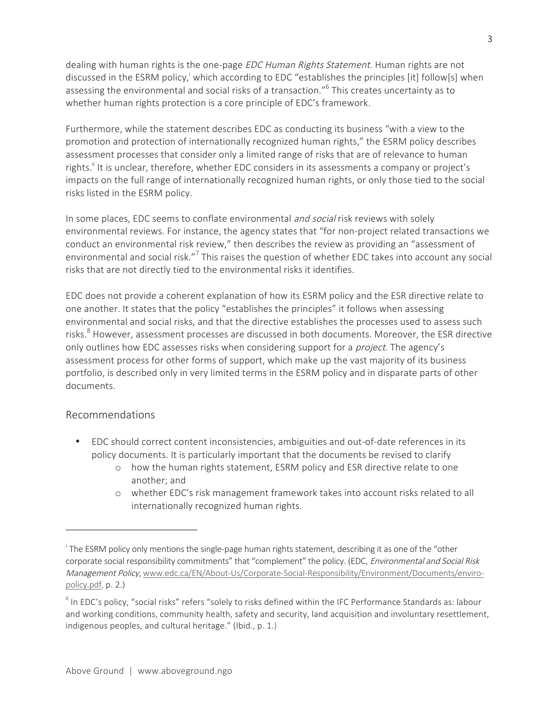dealing with human rights is the one-page EDC Human Rights Statement. Human rights are not discussed in the ESRM policy,<sup>i</sup> which according to EDC "establishes the principles [it] follow[s] when assessing the environmental and social risks of a transaction." <sup>6</sup> This creates uncertainty as to whether human rights protection is a core principle of EDC's framework.

Furthermore, while the statement describes EDC as conducting its business "with a view to the promotion and protection of internationally recognized human rights," the ESRM policy describes assessment processes that consider only a limited range of risks that are of relevance to human rights.<sup>"</sup> It is unclear, therefore, whether EDC considers in its assessments a company or project's impacts on the full range of internationally recognized human rights, or only those tied to the social risks listed in the ESRM policy.

In some places, EDC seems to conflate environmental *and social* risk reviews with solely environmental reviews. For instance, the agency states that "for non-project related transactions we conduct an environmental risk review," then describes the review as providing an "assessment of environmental and social risk."<sup>7</sup> This raises the question of whether EDC takes into account any social risks that are not directly tied to the environmental risks it identifies.

EDC does not provide a coherent explanation of how its ESRM policy and the ESR directive relate to one another. It states that the policy "establishes the principles" it follows when assessing environmental and social risks, and that the directive establishes the processes used to assess such risks.<sup>8</sup> However, assessment processes are discussed in both documents. Moreover, the ESR directive only outlines how EDC assesses risks when considering support for a *project*. The agency's assessment process for other forms of support, which make up the vast majority of its business portfolio, is described only in very limited terms in the ESRM policy and in disparate parts of other documents.

#### Recommendations

- EDC should correct content inconsistencies, ambiguities and out-of-date references in its policy documents. It is particularly important that the documents be revised to clarify
	- o how the human rights statement, ESRM policy and ESR directive relate to one another; and
	- o whether EDC's risk management framework takes into account risks related to all internationally recognized human rights.

<sup>&</sup>lt;sup>i</sup> The ESRM policy only mentions the single-page human rights statement, describing it as one of the "other corporate social responsibility commitments" that "complement" the policy. (EDC, Environmental and Social Risk Management Policy, www.edc.ca/EN/About-Us/Corporate-Social-Responsibility/Environment/Documents/enviropolicy.pdf, p. 2.)

 $\mathbf{I}^{\parallel}$  In EDC's policy, "social risks" refers "solely to risks defined within the IFC Performance Standards as: labour and working conditions, community health, safety and security, land acquisition and involuntary resettlement, indigenous peoples, and cultural heritage." (Ibid., p. 1.)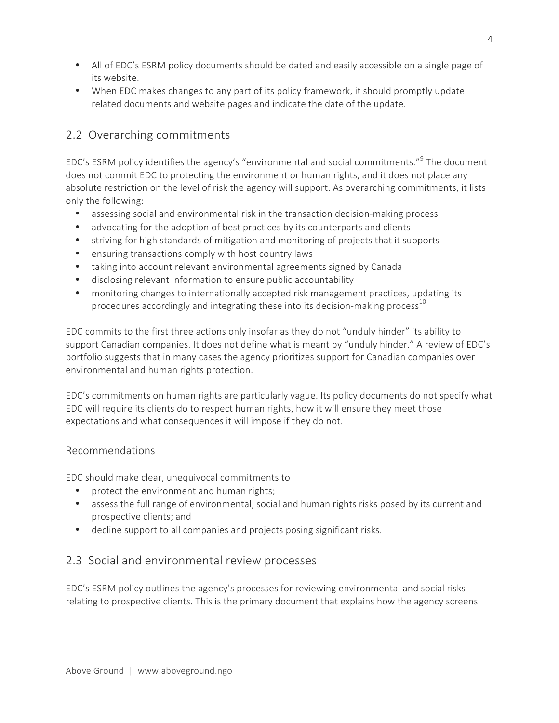- All of EDC's ESRM policy documents should be dated and easily accessible on a single page of its website.
- When EDC makes changes to any part of its policy framework, it should promptly update related documents and website pages and indicate the date of the update.

## 2.2 Overarching commitments

EDC's ESRM policy identifies the agency's "environmental and social commitments."<sup>9</sup> The document does not commit EDC to protecting the environment or human rights, and it does not place any absolute restriction on the level of risk the agency will support. As overarching commitments, it lists only the following:

- assessing social and environmental risk in the transaction decision-making process
- advocating for the adoption of best practices by its counterparts and clients
- striving for high standards of mitigation and monitoring of projects that it supports
- ensuring transactions comply with host country laws
- taking into account relevant environmental agreements signed by Canada
- disclosing relevant information to ensure public accountability
- monitoring changes to internationally accepted risk management practices, updating its procedures accordingly and integrating these into its decision-making process<sup>10</sup>

EDC commits to the first three actions only insofar as they do not "unduly hinder" its ability to support Canadian companies. It does not define what is meant by "unduly hinder." A review of EDC's portfolio suggests that in many cases the agency prioritizes support for Canadian companies over environmental and human rights protection.

EDC's commitments on human rights are particularly vague. Its policy documents do not specify what EDC will require its clients do to respect human rights, how it will ensure they meet those expectations and what consequences it will impose if they do not.

#### Recommendations

EDC should make clear, unequivocal commitments to

- protect the environment and human rights;
- assess the full range of environmental, social and human rights risks posed by its current and prospective clients; and
- decline support to all companies and projects posing significant risks.

## 2.3 Social and environmental review processes

EDC's ESRM policy outlines the agency's processes for reviewing environmental and social risks relating to prospective clients. This is the primary document that explains how the agency screens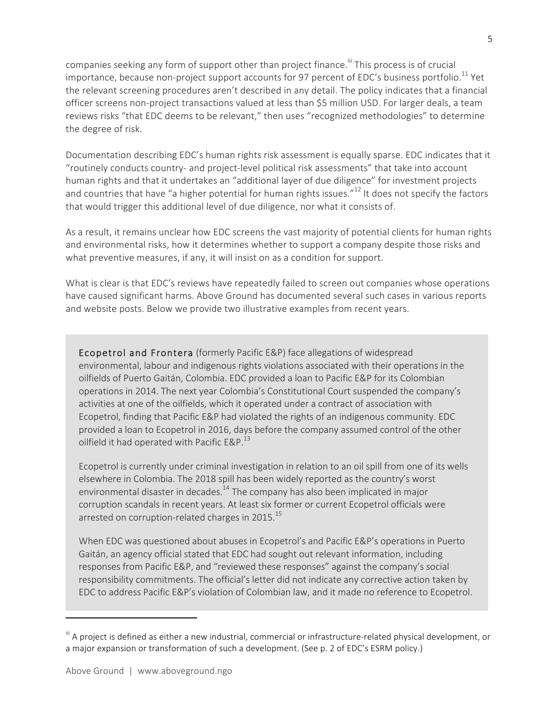companies seeking any form of support other than project finance.<sup>""</sup> This process is of crucial importance, because non-project support accounts for 97 percent of EDC's business portfolio.<sup>11</sup> Yet the relevant screening procedures aren't described in any detail. The policy indicates that a financial officer screens non-project transactions valued at less than \$5 million USD. For larger deals, a team reviews risks "that EDC deems to be relevant," then uses "recognized methodologies" to determine the degree of risk.

Documentation describing EDC's human rights risk assessment is equally sparse. EDC indicates that it "routinely conducts country- and project-level political risk assessments" that take into account human rights and that it undertakes an "additional layer of due diligence" for investment projects and countries that have "a higher potential for human rights issues."<sup>12</sup> It does not specify the factors that would trigger this additional level of due diligence, nor what it consists of.

As a result, it remains unclear how EDC screens the vast majority of potential clients for human rights and environmental risks, how it determines whether to support a company despite those risks and what preventive measures, if any, it will insist on as a condition for support.

What is clear is that EDC's reviews have repeatedly failed to screen out companies whose operations have caused significant harms. Above Ground has documented several such cases in various reports and website posts. Below we provide two illustrative examples from recent years.

Ecopetrol and Frontera (formerly Pacific E&P) face allegations of widespread environmental, labour and indigenous rights violations associated with their operations in the oilfields of Puerto Gaitán, Colombia. EDC provided a loan to Pacific E&P for its Colombian operations in 2014. The next year Colombia's Constitutional Court suspended the company's activities at one of the oilfields, which it operated under a contract of association with Ecopetrol, finding that Pacific E&P had violated the rights of an indigenous community. EDC provided a loan to Ecopetrol in 2016, days before the company assumed control of the other oilfield it had operated with Pacific  $\textsf{E}\&\textsf{P}.^{13}$ 

Ecopetrol is currently under criminal investigation in relation to an oil spill from one of its wells elsewhere in Colombia. The 2018 spill has been widely reported as the country's worst environmental disaster in decades.<sup>14</sup> The company has also been implicated in major corruption scandals in recent years. At least six former or current Ecopetrol officials were arrested on corruption-related charges in 2015.<sup>15</sup>

When EDC was questioned about abuses in Ecopetrol's and Pacific E&P's operations in Puerto Gaitán, an agency official stated that EDC had sought out relevant information, including responses from Pacific E&P, and "reviewed these responses" against the company's social responsibility commitments. The official's letter did not indicate any corrective action taken by EDC to address Pacific E&P's violation of Colombian law, and it made no reference to Ecopetrol.

 $^{\text{III}}$  A project is defined as either a new industrial, commercial or infrastructure-related physical development, or a major expansion or transformation of such a development. (See p. 2 of EDC's ESRM policy.)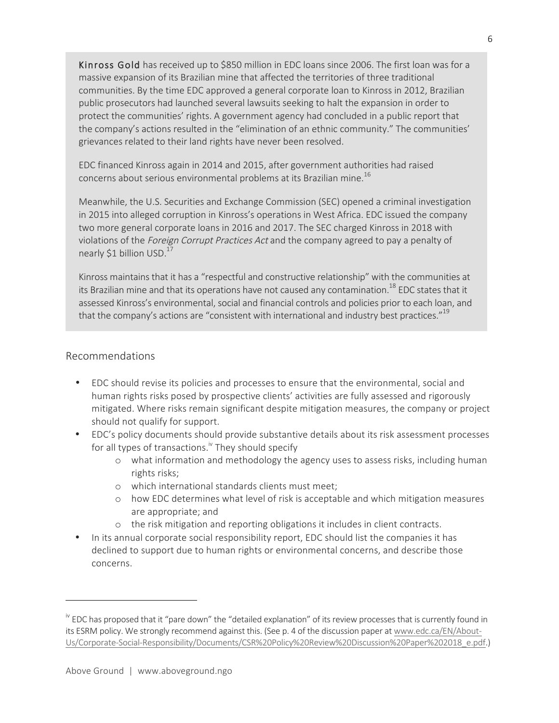Kinross Gold has received up to \$850 million in EDC loans since 2006. The first loan was for a massive expansion of its Brazilian mine that affected the territories of three traditional communities. By the time EDC approved a general corporate loan to Kinross in 2012, Brazilian public prosecutors had launched several lawsuits seeking to halt the expansion in order to protect the communities' rights. A government agency had concluded in a public report that the company's actions resulted in the "elimination of an ethnic community." The communities' grievances related to their land rights have never been resolved.

EDC financed Kinross again in 2014 and 2015, after government authorities had raised concerns about serious environmental problems at its Brazilian mine.16

Meanwhile, the U.S. Securities and Exchange Commission (SEC) opened a criminal investigation in 2015 into alleged corruption in Kinross's operations in West Africa. EDC issued the company two more general corporate loans in 2016 and 2017. The SEC charged Kinross in 2018 with violations of the Foreign Corrupt Practices Act and the company agreed to pay a penalty of nearly \$1 billion USD.<sup>17</sup>

Kinross maintains that it has a "respectful and constructive relationship" with the communities at its Brazilian mine and that its operations have not caused any contamination.<sup>18</sup> EDC states that it assessed Kinross's environmental, social and financial controls and policies prior to each loan, and that the company's actions are "consistent with international and industry best practices."<sup>19</sup>

#### Recommendations

- EDC should revise its policies and processes to ensure that the environmental, social and human rights risks posed by prospective clients' activities are fully assessed and rigorously mitigated. Where risks remain significant despite mitigation measures, the company or project should not qualify for support.
- EDC's policy documents should provide substantive details about its risk assessment processes for all types of transactions.<sup>iv</sup> They should specify
	- o what information and methodology the agency uses to assess risks, including human rights risks;
	- o which international standards clients must meet;
	- o how EDC determines what level of risk is acceptable and which mitigation measures are appropriate; and
	- o the risk mitigation and reporting obligations it includes in client contracts.
- In its annual corporate social responsibility report, EDC should list the companies it has declined to support due to human rights or environmental concerns, and describe those concerns.

<sup>&</sup>lt;sup>iv</sup> EDC has proposed that it "pare down" the "detailed explanation" of its review processes that is currently found in its ESRM policy. We strongly recommend against this. (See p. 4 of the discussion paper at www.edc.ca/EN/About-Us/Corporate-Social-Responsibility/Documents/CSR%20Policy%20Review%20Discussion%20Paper%202018\_e.pdf.)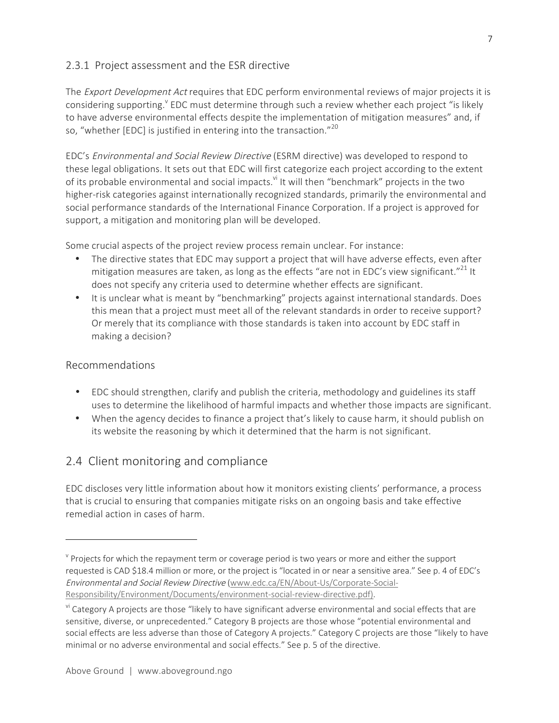#### 2.3.1 Project assessment and the ESR directive

The *Export Development Act* requires that EDC perform environmental reviews of major projects it is considering supporting.<sup>Y</sup> EDC must determine through such a review whether each project "is likely to have adverse environmental effects despite the implementation of mitigation measures" and, if so, "whether [EDC] is justified in entering into the transaction."<sup>20</sup>

EDC's Environmental and Social Review Directive (ESRM directive) was developed to respond to these legal obligations. It sets out that EDC will first categorize each project according to the extent of its probable environmental and social impacts.<sup>vi</sup> It will then "benchmark" projects in the two higher-risk categories against internationally recognized standards, primarily the environmental and social performance standards of the International Finance Corporation. If a project is approved for support, a mitigation and monitoring plan will be developed.

Some crucial aspects of the project review process remain unclear. For instance:

- The directive states that EDC may support a project that will have adverse effects, even after mitigation measures are taken, as long as the effects "are not in EDC's view significant."<sup>21</sup> It does not specify any criteria used to determine whether effects are significant.
- It is unclear what is meant by "benchmarking" projects against international standards. Does this mean that a project must meet all of the relevant standards in order to receive support? Or merely that its compliance with those standards is taken into account by EDC staff in making a decision?

#### Recommendations

 $\overline{a}$ 

- EDC should strengthen, clarify and publish the criteria, methodology and guidelines its staff uses to determine the likelihood of harmful impacts and whether those impacts are significant.
- When the agency decides to finance a project that's likely to cause harm, it should publish on its website the reasoning by which it determined that the harm is not significant.

## 2.4 Client monitoring and compliance

EDC discloses very little information about how it monitors existing clients' performance, a process that is crucial to ensuring that companies mitigate risks on an ongoing basis and take effective remedial action in cases of harm.

 $\gamma$  Projects for which the repayment term or coverage period is two years or more and either the support requested is CAD \$18.4 million or more, or the project is "located in or near a sensitive area." See p. 4 of EDC's Environmental and Social Review Directive (www.edc.ca/EN/About-Us/Corporate-Social-Responsibility/Environment/Documents/environment-social-review-directive.pdf).

<sup>&</sup>lt;sup>vi</sup> Category A projects are those "likely to have significant adverse environmental and social effects that are sensitive, diverse, or unprecedented." Category B projects are those whose "potential environmental and social effects are less adverse than those of Category A projects." Category C projects are those "likely to have minimal or no adverse environmental and social effects." See p. 5 of the directive.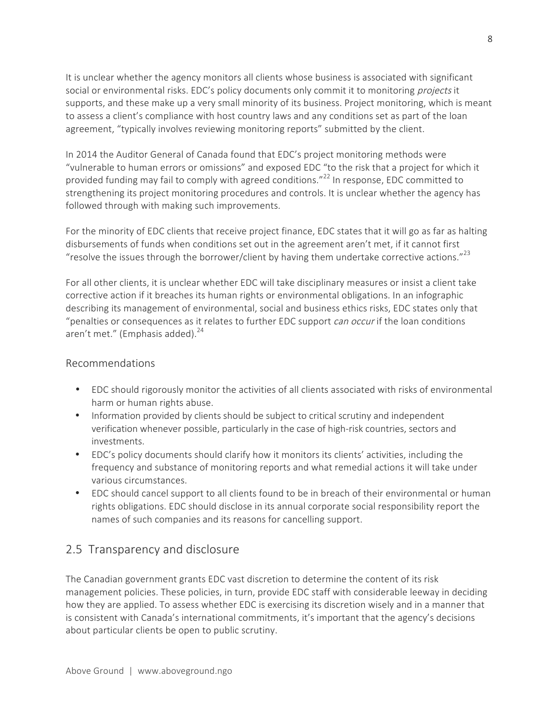It is unclear whether the agency monitors all clients whose business is associated with significant social or environmental risks. EDC's policy documents only commit it to monitoring projects it supports, and these make up a very small minority of its business. Project monitoring, which is meant to assess a client's compliance with host country laws and any conditions set as part of the loan agreement, "typically involves reviewing monitoring reports" submitted by the client.

In 2014 the Auditor General of Canada found that EDC's project monitoring methods were "vulnerable to human errors or omissions" and exposed EDC "to the risk that a project for which it provided funding may fail to comply with agreed conditions." $^{22}$  In response, EDC committed to strengthening its project monitoring procedures and controls. It is unclear whether the agency has followed through with making such improvements.

For the minority of EDC clients that receive project finance, EDC states that it will go as far as halting disbursements of funds when conditions set out in the agreement aren't met, if it cannot first "resolve the issues through the borrower/client by having them undertake corrective actions." $^{23}$ 

For all other clients, it is unclear whether EDC will take disciplinary measures or insist a client take corrective action if it breaches its human rights or environmental obligations. In an infographic describing its management of environmental, social and business ethics risks, EDC states only that "penalties or consequences as it relates to further EDC support can occur if the loan conditions aren't met." (Emphasis added).<sup>24</sup>

#### Recommendations

- EDC should rigorously monitor the activities of all clients associated with risks of environmental harm or human rights abuse.
- Information provided by clients should be subject to critical scrutiny and independent verification whenever possible, particularly in the case of high-risk countries, sectors and investments.
- EDC's policy documents should clarify how it monitors its clients' activities, including the frequency and substance of monitoring reports and what remedial actions it will take under various circumstances.
- EDC should cancel support to all clients found to be in breach of their environmental or human rights obligations. EDC should disclose in its annual corporate social responsibility report the names of such companies and its reasons for cancelling support.

## 2.5 Transparency and disclosure

The Canadian government grants EDC vast discretion to determine the content of its risk management policies. These policies, in turn, provide EDC staff with considerable leeway in deciding how they are applied. To assess whether EDC is exercising its discretion wisely and in a manner that is consistent with Canada's international commitments, it's important that the agency's decisions about particular clients be open to public scrutiny.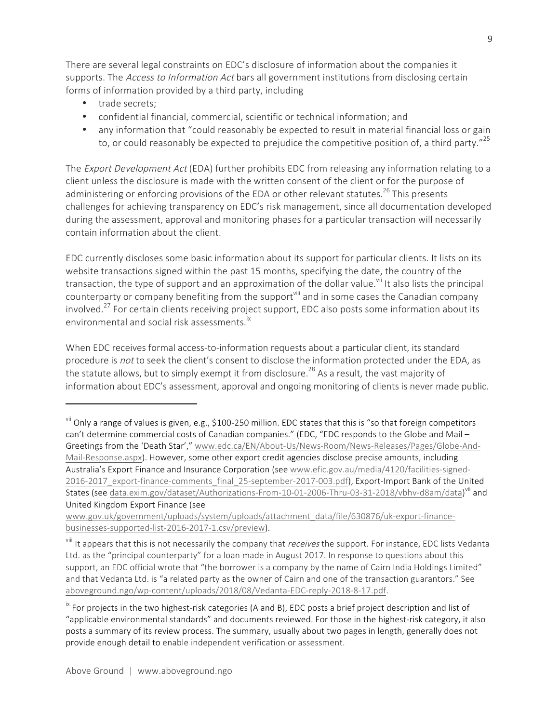There are several legal constraints on EDC's disclosure of information about the companies it supports. The Access to Information Act bars all government institutions from disclosing certain forms of information provided by a third party, including

• trade secrets;

 $\overline{a}$ 

- confidential financial, commercial, scientific or technical information; and
- any information that "could reasonably be expected to result in material financial loss or gain to, or could reasonably be expected to prejudice the competitive position of, a third party."<sup>25</sup>

The *Export Development Act* (EDA) further prohibits EDC from releasing any information relating to a client unless the disclosure is made with the written consent of the client or for the purpose of administering or enforcing provisions of the EDA or other relevant statutes.<sup>26</sup> This presents challenges for achieving transparency on EDC's risk management, since all documentation developed during the assessment, approval and monitoring phases for a particular transaction will necessarily contain information about the client.

EDC currently discloses some basic information about its support for particular clients. It lists on its website transactions signed within the past 15 months, specifying the date, the country of the transaction, the type of support and an approximation of the dollar value.<sup>vii</sup> It also lists the principal counterparty or company benefiting from the support<sup>vill</sup> and in some cases the Canadian company involved.<sup>27</sup> For certain clients receiving project support, EDC also posts some information about its environmental and social risk assessments.<sup>ix</sup>

When EDC receives formal access-to-information requests about a particular client, its standard procedure is not to seek the client's consent to disclose the information protected under the EDA, as the statute allows, but to simply exempt it from disclosure.<sup>28</sup> As a result, the vast majority of information about EDC's assessment, approval and ongoing monitoring of clients is never made public.

vii Only a range of values is given, e.g., \$100-250 million. EDC states that this is "so that foreign competitors can't determine commercial costs of Canadian companies." (EDC, "EDC responds to the Globe and Mail – Greetings from the 'Death Star'," www.edc.ca/EN/About-Us/News-Room/News-Releases/Pages/Globe-And-Mail-Response.aspx). However, some other export credit agencies disclose precise amounts, including Australia's Export Finance and Insurance Corporation (see www.efic.gov.au/media/4120/facilities-signed-2016-2017\_export-finance-comments\_final\_25-september-2017-003.pdf), Export-Import Bank of the United States (see data.exim.gov/dataset/Authorizations-From-10-01-2006-Thru-03-31-2018/vbhv-d8am/data)<sup>vii</sup> and United Kingdom Export Finance (see

www.gov.uk/government/uploads/system/uploads/attachment\_data/file/630876/uk-export-financebusinesses-supported-list-2016-2017-1.csv/preview).

<sup>&</sup>lt;sup>viii</sup> It appears that this is not necessarily the company that *receives* the support. For instance, EDC lists Vedanta Ltd. as the "principal counterparty" for a loan made in August 2017. In response to questions about this support, an EDC official wrote that "the borrower is a company by the name of Cairn India Holdings Limited" and that Vedanta Ltd. is "a related party as the owner of Cairn and one of the transaction guarantors." See aboveground.ngo/wp-content/uploads/2018/08/Vedanta-EDC-reply-2018-8-17.pdf.

<sup>&</sup>lt;sup>ix</sup> For projects in the two highest-risk categories (A and B), EDC posts a brief project description and list of "applicable environmental standards" and documents reviewed. For those in the highest-risk category, it also posts a summary of its review process. The summary, usually about two pages in length, generally does not provide enough detail to enable independent verification or assessment.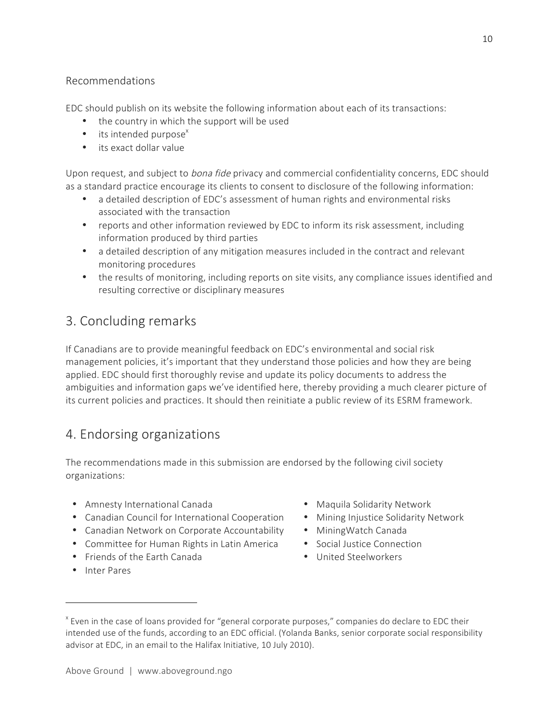#### Recommendations

EDC should publish on its website the following information about each of its transactions:

- the country in which the support will be used
- $\bullet$  its intended purpose<sup>x</sup>
- its exact dollar value

Upon request, and subject to *bona fide* privacy and commercial confidentiality concerns, EDC should as a standard practice encourage its clients to consent to disclosure of the following information:

- a detailed description of EDC's assessment of human rights and environmental risks associated with the transaction
- reports and other information reviewed by EDC to inform its risk assessment, including information produced by third parties
- a detailed description of any mitigation measures included in the contract and relevant monitoring procedures
- the results of monitoring, including reports on site visits, any compliance issues identified and resulting corrective or disciplinary measures

## 3. Concluding remarks

If Canadians are to provide meaningful feedback on EDC's environmental and social risk management policies, it's important that they understand those policies and how they are being applied. EDC should first thoroughly revise and update its policy documents to address the ambiguities and information gaps we've identified here, thereby providing a much clearer picture of its current policies and practices. It should then reinitiate a public review of its ESRM framework.

## 4. Endorsing organizations

The recommendations made in this submission are endorsed by the following civil society organizations:

- Amnesty International Canada
- Canadian Council for International Cooperation
- Canadian Network on Corporate Accountability
- Committee for Human Rights in Latin America
- Friends of the Earth Canada
- Maquila Solidarity Network
- Mining Injustice Solidarity Network
- MiningWatch Canada
- Social Justice Connection
- United Steelworkers

• Inter Pares

<sup>&</sup>lt;sup>x</sup> Even in the case of loans provided for "general corporate purposes," companies do declare to EDC their intended use of the funds, according to an EDC official. (Yolanda Banks, senior corporate social responsibility advisor at EDC, in an email to the Halifax Initiative, 10 July 2010).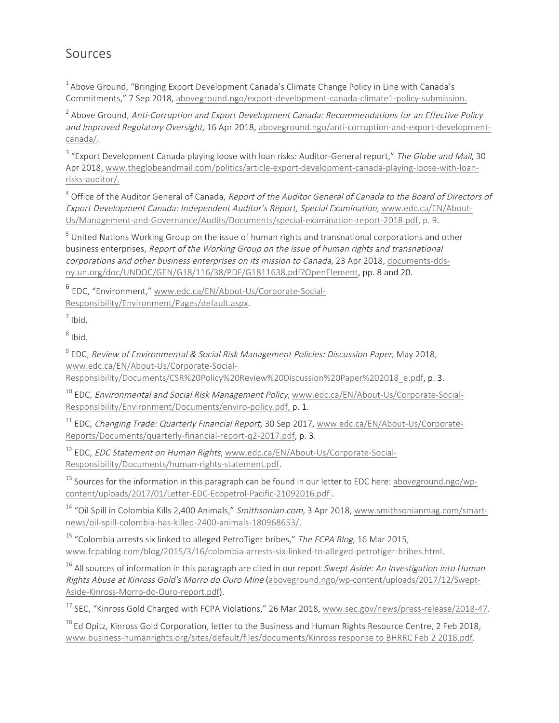## Sources

 $1$ Above Ground, "Bringing Export Development Canada's Climate Change Policy in Line with Canada's Commitments," 7 Sep 2018, aboveground.ngo/export-development-canada-climate1-policy-submission.

 $2$  Above Ground, Anti-Corruption and Export Development Canada: Recommendations for an Effective Policy and Improved Regulatory Oversight, 16 Apr 2018, aboveground.ngo/anti-corruption-and-export-developmentcanada/.

<sup>3</sup> "Export Development Canada playing loose with loan risks: Auditor-General report," The Globe and Mail, 30 Apr 2018, www.theglobeandmail.com/politics/article-export-development-canada-playing-loose-with-loanrisks-auditor/.

 $4$  Office of the Auditor General of Canada, Report of the Auditor General of Canada to the Board of Directors of Export Development Canada: Independent Auditor's Report, Special Examination, www.edc.ca/EN/About-Us/Management-and-Governance/Audits/Documents/special-examination-report-2018.pdf, p. 9.

<sup>5</sup> United Nations Working Group on the issue of human rights and transnational corporations and other business enterprises, Report of the Working Group on the issue of human rights and transnational corporations and other business enterprises on its mission to Canada, 23 Apr 2018, documents-ddsny.un.org/doc/UNDOC/GEN/G18/116/38/PDF/G1811638.pdf?OpenElement, pp. 8 and 20.

<sup>6</sup> EDC, "Environment," www.edc.ca/EN/About-Us/Corporate-Social-Responsibility/Environment/Pages/default.aspx.

 $7$  Ibid.

 $8$  Ibid.

<sup>9</sup> EDC, Review of Environmental & Social Risk Management Policies: Discussion Paper, May 2018, www.edc.ca/EN/About-Us/Corporate-Social-

Responsibility/Documents/CSR%20Policy%20Review%20Discussion%20Paper%202018\_e.pdf, p. 3.

<sup>10</sup> EDC, *Environmental and Social Risk Management Policy*, www.edc.ca/EN/About-Us/Corporate-Social-Responsibility/Environment/Documents/enviro-policy.pdf, p. 1.

<sup>11</sup> EDC, Changing Trade: Quarterly Financial Report, 30 Sep 2017, www.edc.ca/EN/About-Us/Corporate-Reports/Documents/quarterly-financial-report-q2-2017.pdf, p. 3.

<sup>12</sup> EDC, EDC Statement on Human Rights, www.edc.ca/EN/About-Us/Corporate-Social-Responsibility/Documents/human-rights-statement.pdf.

 $13$  Sources for the information in this paragraph can be found in our letter to EDC here: aboveground.ngo/wpcontent/uploads/2017/01/Letter-EDC-Ecopetrol-Pacific-21092016.pdf .

<sup>14</sup> "Oil Spill in Colombia Kills 2,400 Animals," Smithsonian.com, 3 Apr 2018, www.smithsonianmag.com/smartnews/oil-spill-colombia-has-killed-2400-animals-180968653/.

 $15$  "Colombia arrests six linked to alleged PetroTiger bribes," The FCPA Blog, 16 Mar 2015, www.fcpablog.com/blog/2015/3/16/colombia-arrests-six-linked-to-alleged-petrotiger-bribes.html.

 $16$  All sources of information in this paragraph are cited in our report Swept Aside: An Investigation into Human Rights Abuse at Kinross Gold's Morro do Ouro Mine (aboveground.ngo/wp-content/uploads/2017/12/Swept-Aside-Kinross-Morro-do-Ouro-report.pdf).

<sup>17</sup> SEC, "Kinross Gold Charged with FCPA Violations," 26 Mar 2018, www.sec.gov/news/press-release/2018-47.

 $^{18}$  Ed Opitz, Kinross Gold Corporation, letter to the Business and Human Rights Resource Centre, 2 Feb 2018, www.business-humanrights.org/sites/default/files/documents/Kinross response to BHRRC Feb 2 2018.pdf.